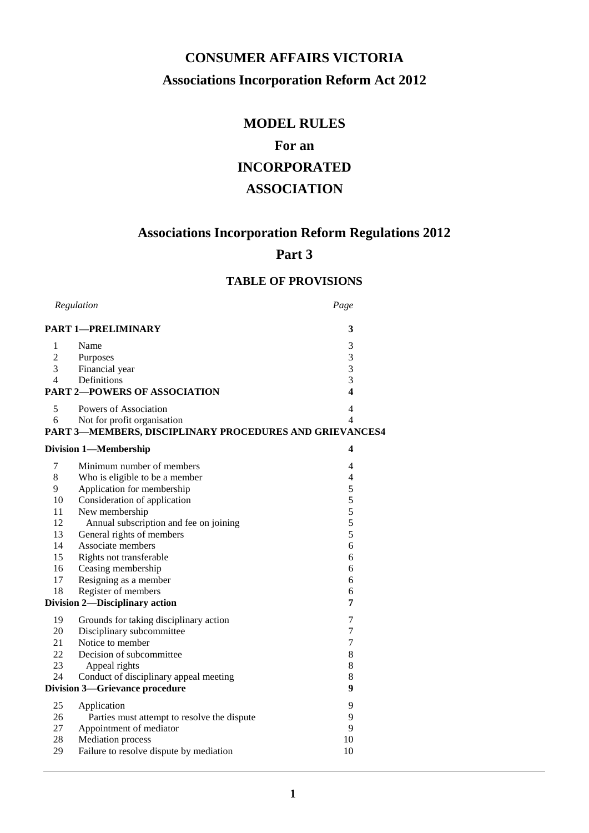# **CONSUMER AFFAIRS VICTORIA Associations Incorporation Reform Act 2012**

# **MODEL RULES**

# **For an**

# **INCORPORATED**

# **ASSOCIATION**

# **Associations Incorporation Reform Regulations 2012**

# **Part 3**

# **TABLE OF PROVISIONS**

| Regulation     |                                                         | Page           |
|----------------|---------------------------------------------------------|----------------|
|                | <b>PART 1-PRELIMINARY</b>                               | 3              |
| $\mathbf{1}$   | Name                                                    | 3              |
| $\overline{c}$ | Purposes                                                | 3              |
| 3              | Financial year                                          | 3              |
| $\overline{4}$ | Definitions                                             | 3              |
|                | <b>PART 2-POWERS OF ASSOCIATION</b>                     | 4              |
| 5              | Powers of Association                                   | 4              |
| 6              | Not for profit organisation                             | 4              |
|                | PART 3-MEMBERS, DISCIPLINARY PROCEDURES AND GRIEVANCES4 |                |
|                | <b>Division 1-Membership</b>                            | 4              |
| 7              | Minimum number of members                               | 4              |
| 8              | Who is eligible to be a member                          | $\overline{4}$ |
| 9              | Application for membership                              | 5              |
| 10             | Consideration of application                            | 5              |
| 11             | New membership                                          | 5              |
| 12             | Annual subscription and fee on joining                  | 5              |
| 13             | General rights of members                               | 5              |
| 14             | Associate members                                       | 6              |
| 15             | Rights not transferable                                 | 6              |
| 16             | Ceasing membership                                      | 6              |
| 17             | Resigning as a member                                   | 6              |
| 18             | Register of members                                     | 6              |
|                | Division 2-Disciplinary action                          | 7              |
| 19             | Grounds for taking disciplinary action                  | $\tau$         |
| 20             | Disciplinary subcommittee                               | $\tau$         |
| 21             | Notice to member                                        | $\tau$         |
| 22             | Decision of subcommittee                                | 8              |
| 23             | Appeal rights                                           | 8              |
| 24             | Conduct of disciplinary appeal meeting                  | 8              |
|                | <b>Division 3-Grievance procedure</b>                   | 9              |
| 25             | Application                                             | 9              |
| 26             | Parties must attempt to resolve the dispute             | 9              |
| 27             | Appointment of mediator                                 | 9              |
| 28             | <b>Mediation</b> process                                | 10             |
| 29             | Failure to resolve dispute by mediation                 | 10             |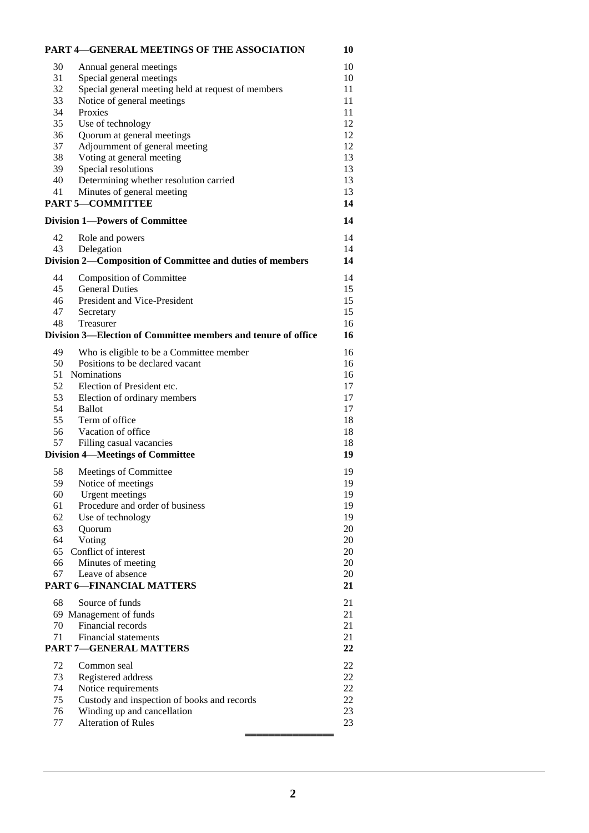| <b>PART 4-GENERAL MEETINGS OF THE ASSOCIATION</b>                         | 10       |
|---------------------------------------------------------------------------|----------|
| Annual general meetings<br>30                                             | 10       |
| Special general meetings<br>31                                            | 10       |
| 32<br>Special general meeting held at request of members                  | 11       |
| 33<br>Notice of general meetings                                          | 11       |
| 34<br>Proxies                                                             | 11       |
| 35<br>Use of technology                                                   | 12       |
| Quorum at general meetings<br>36                                          | 12       |
| 37<br>Adjournment of general meeting                                      | 12       |
| Voting at general meeting<br>38                                           | 13       |
| Special resolutions<br>39                                                 | 13       |
| Determining whether resolution carried<br>40                              | 13       |
| Minutes of general meeting<br>41                                          | 13       |
| <b>PART 5-COMMITTEE</b>                                                   | 14       |
| <b>Division 1-Powers of Committee</b>                                     | 14       |
| 42<br>Role and powers                                                     | 14       |
| Delegation<br>43                                                          | 14       |
| Division 2-Composition of Committee and duties of members                 | 14       |
|                                                                           |          |
| <b>Composition of Committee</b><br>44<br><b>General Duties</b>            | 14<br>15 |
| 45<br>President and Vice-President                                        |          |
| 46                                                                        | 15<br>15 |
| 47<br>Secretary<br>48<br>Treasurer                                        | 16       |
| Division 3—Election of Committee members and tenure of office             | 16       |
|                                                                           |          |
| Who is eligible to be a Committee member<br>49                            | 16       |
| Positions to be declared vacant<br>50                                     | 16       |
| Nominations<br>51                                                         | 16       |
| Election of President etc.<br>52                                          | 17       |
| 53<br>Election of ordinary members                                        | 17       |
| 54<br><b>Ballot</b>                                                       | 17       |
| 55<br>Term of office                                                      | 18       |
| 56<br>Vacation of office                                                  | 18       |
| 57<br>Filling casual vacancies<br><b>Division 4-Meetings of Committee</b> | 18<br>19 |
|                                                                           |          |
| Meetings of Committee<br>58                                               | 19       |
| 59<br>Notice of meetings                                                  | 19       |
| 60<br>Urgent meetings                                                     | 19       |
| Procedure and order of business<br>61                                     | 19       |
| Use of technology<br>62                                                   | 19       |
| 63<br>Quorum                                                              | 20       |
| Voting<br>64                                                              | 20       |
| Conflict of interest<br>65                                                | 20       |
| Minutes of meeting<br>66                                                  | 20<br>20 |
| Leave of absence<br>67<br><b>PART 6-FINANCIAL MATTERS</b>                 |          |
|                                                                           | 21       |
| Source of funds<br>68                                                     | 21       |
| 69 Management of funds                                                    | 21       |
| Financial records<br>70                                                   | 21       |
| Financial statements<br>71                                                | 21       |
| PART 7-GENERAL MATTERS                                                    | 22       |
| 72<br>Common seal                                                         | 22       |
| 73<br>Registered address                                                  | $22\,$   |
| 74<br>Notice requirements                                                 | $22\,$   |
| 75<br>Custody and inspection of books and records                         | $22\,$   |
| Winding up and cancellation<br>76                                         | 23       |
| <b>Alteration of Rules</b><br>77                                          | 23       |
|                                                                           |          |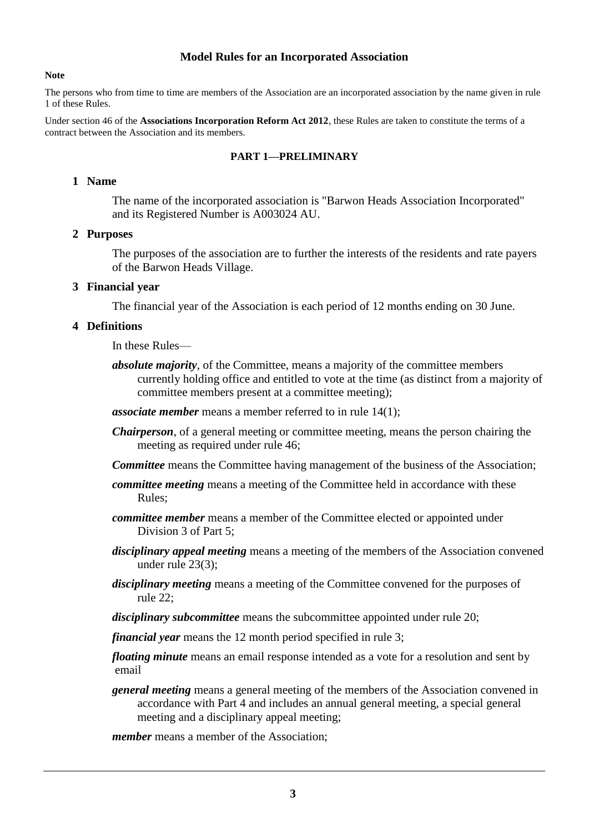### **Model Rules for an Incorporated Association**

#### **Note**

The persons who from time to time are members of the Association are an incorporated association by the name given in rule 1 of these Rules.

Under section 46 of the **Associations Incorporation Reform Act 2012**, these Rules are taken to constitute the terms of a contract between the Association and its members.

#### **PART 1—PRELIMINARY**

### **1 Name**

The name of the incorporated association is "Barwon Heads Association Incorporated" and its Registered Number is A003024 AU.

#### **2 Purposes**

The purposes of the association are to further the interests of the residents and rate payers of the Barwon Heads Village.

#### **3 Financial year**

The financial year of the Association is each period of 12 months ending on 30 June.

#### **4 Definitions**

In these Rules—

*absolute majority*, of the Committee, means a majority of the committee members currently holding office and entitled to vote at the time (as distinct from a majority of committee members present at a committee meeting);

*associate member* means a member referred to in rule 14(1);

- *Chairperson*, of a general meeting or committee meeting, means the person chairing the meeting as required under rule 46;
- *Committee* means the Committee having management of the business of the Association;
- *committee meeting* means a meeting of the Committee held in accordance with these Rules;
- *committee member* means a member of the Committee elected or appointed under Division 3 of Part 5;
- *disciplinary appeal meeting* means a meeting of the members of the Association convened under rule 23(3);
- *disciplinary meeting* means a meeting of the Committee convened for the purposes of rule 22;
- *disciplinary subcommittee* means the subcommittee appointed under rule 20;

*financial year* means the 12 month period specified in rule 3;

*floating minute* means an email response intended as a vote for a resolution and sent by email

*general meeting* means a general meeting of the members of the Association convened in accordance with Part 4 and includes an annual general meeting, a special general meeting and a disciplinary appeal meeting;

*member* means a member of the Association: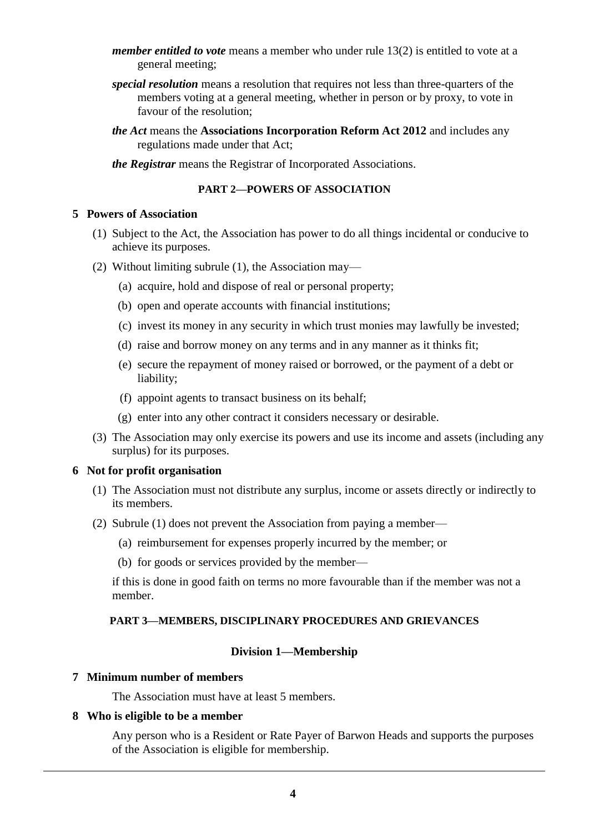- *member entitled to vote* means a member who under rule 13(2) is entitled to vote at a general meeting;
- *special resolution* means a resolution that requires not less than three-quarters of the members voting at a general meeting, whether in person or by proxy, to vote in favour of the resolution;
- *the Act* means the **Associations Incorporation Reform Act 2012** and includes any regulations made under that Act;
- *the Registrar* means the Registrar of Incorporated Associations.

#### **PART 2—POWERS OF ASSOCIATION**

#### **5 Powers of Association**

- (1) Subject to the Act, the Association has power to do all things incidental or conducive to achieve its purposes.
- (2) Without limiting subrule (1), the Association may—
	- (a) acquire, hold and dispose of real or personal property;
	- (b) open and operate accounts with financial institutions;
	- (c) invest its money in any security in which trust monies may lawfully be invested;
	- (d) raise and borrow money on any terms and in any manner as it thinks fit;
	- (e) secure the repayment of money raised or borrowed, or the payment of a debt or liability;
	- (f) appoint agents to transact business on its behalf;
	- (g) enter into any other contract it considers necessary or desirable.
- (3) The Association may only exercise its powers and use its income and assets (including any surplus) for its purposes.

### **6 Not for profit organisation**

- (1) The Association must not distribute any surplus, income or assets directly or indirectly to its members.
- (2) Subrule (1) does not prevent the Association from paying a member—
	- (a) reimbursement for expenses properly incurred by the member; or
	- (b) for goods or services provided by the member—

if this is done in good faith on terms no more favourable than if the member was not a member.

#### **PART 3—MEMBERS, DISCIPLINARY PROCEDURES AND GRIEVANCES**

### **Division 1—Membership**

#### **7 Minimum number of members**

The Association must have at least 5 members.

#### **8 Who is eligible to be a member**

Any person who is a Resident or Rate Payer of Barwon Heads and supports the purposes of the Association is eligible for membership.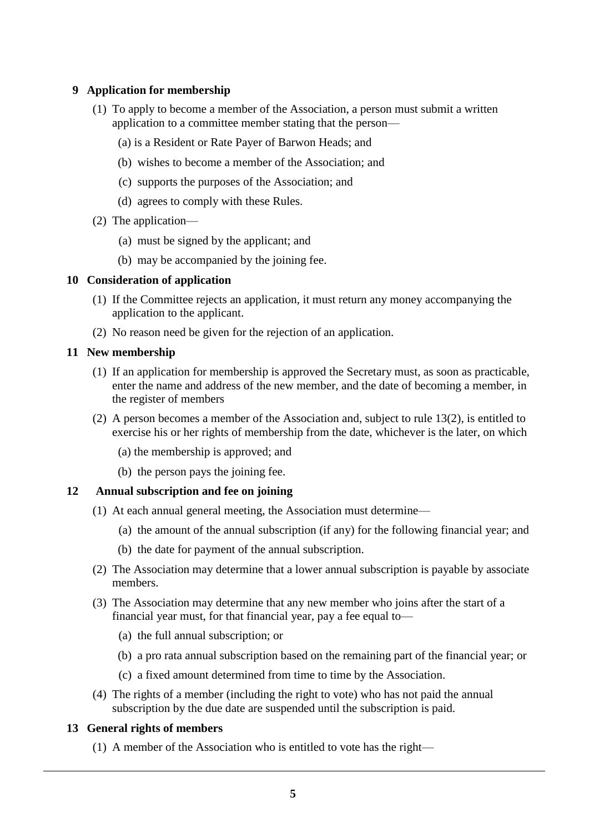# **9 Application for membership**

- (1) To apply to become a member of the Association, a person must submit a written application to a committee member stating that the person—
	- (a) is a Resident or Rate Payer of Barwon Heads; and
	- (b) wishes to become a member of the Association; and
	- (c) supports the purposes of the Association; and
	- (d) agrees to comply with these Rules.
- (2) The application—
	- (a) must be signed by the applicant; and
	- (b) may be accompanied by the joining fee.

#### **10 Consideration of application**

- (1) If the Committee rejects an application, it must return any money accompanying the application to the applicant.
- (2) No reason need be given for the rejection of an application.

#### **11 New membership**

- (1) If an application for membership is approved the Secretary must, as soon as practicable, enter the name and address of the new member, and the date of becoming a member, in the register of members
- (2) A person becomes a member of the Association and, subject to rule 13(2), is entitled to exercise his or her rights of membership from the date, whichever is the later, on which
	- (a) the membership is approved; and
	- (b) the person pays the joining fee.

### **12 Annual subscription and fee on joining**

- (1) At each annual general meeting, the Association must determine—
	- (a) the amount of the annual subscription (if any) for the following financial year; and
	- (b) the date for payment of the annual subscription.
- (2) The Association may determine that a lower annual subscription is payable by associate members.
- (3) The Association may determine that any new member who joins after the start of a financial year must, for that financial year, pay a fee equal to—
	- (a) the full annual subscription; or
	- (b) a pro rata annual subscription based on the remaining part of the financial year; or
	- (c) a fixed amount determined from time to time by the Association.
- (4) The rights of a member (including the right to vote) who has not paid the annual subscription by the due date are suspended until the subscription is paid.

#### **13 General rights of members**

(1) A member of the Association who is entitled to vote has the right—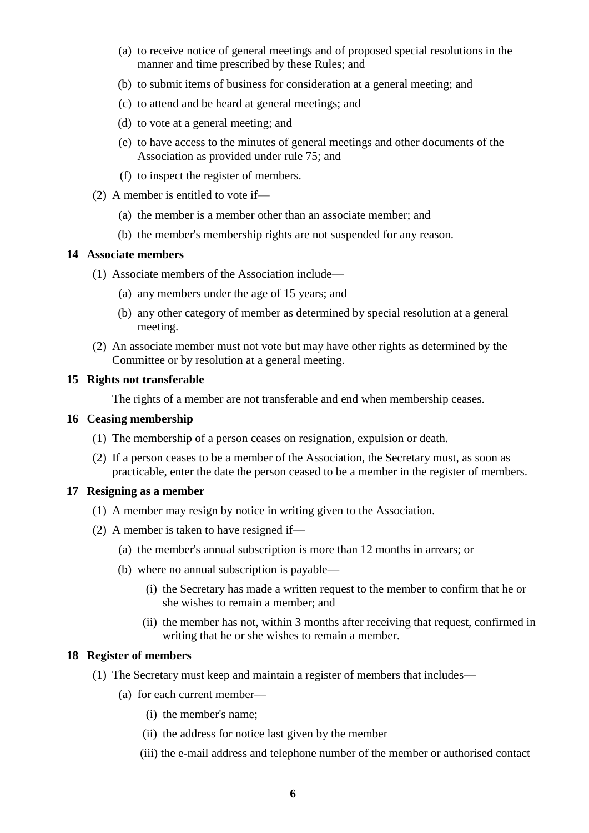- (a) to receive notice of general meetings and of proposed special resolutions in the manner and time prescribed by these Rules; and
- (b) to submit items of business for consideration at a general meeting; and
- (c) to attend and be heard at general meetings; and
- (d) to vote at a general meeting; and
- (e) to have access to the minutes of general meetings and other documents of the Association as provided under rule 75; and
- (f) to inspect the register of members.
- (2) A member is entitled to vote if—
	- (a) the member is a member other than an associate member; and
	- (b) the member's membership rights are not suspended for any reason.

## **14 Associate members**

- (1) Associate members of the Association include—
	- (a) any members under the age of 15 years; and
	- (b) any other category of member as determined by special resolution at a general meeting.
- (2) An associate member must not vote but may have other rights as determined by the Committee or by resolution at a general meeting.

# **15 Rights not transferable**

The rights of a member are not transferable and end when membership ceases.

## **16 Ceasing membership**

- (1) The membership of a person ceases on resignation, expulsion or death.
- (2) If a person ceases to be a member of the Association, the Secretary must, as soon as practicable, enter the date the person ceased to be a member in the register of members.

### **17 Resigning as a member**

- (1) A member may resign by notice in writing given to the Association.
- (2) A member is taken to have resigned if—
	- (a) the member's annual subscription is more than 12 months in arrears; or
	- (b) where no annual subscription is payable—
		- (i) the Secretary has made a written request to the member to confirm that he or she wishes to remain a member; and
		- (ii) the member has not, within 3 months after receiving that request, confirmed in writing that he or she wishes to remain a member.

### **18 Register of members**

- (1) The Secretary must keep and maintain a register of members that includes—
	- (a) for each current member—
		- (i) the member's name;
		- (ii) the address for notice last given by the member
		- (iii) the e-mail address and telephone number of the member or authorised contact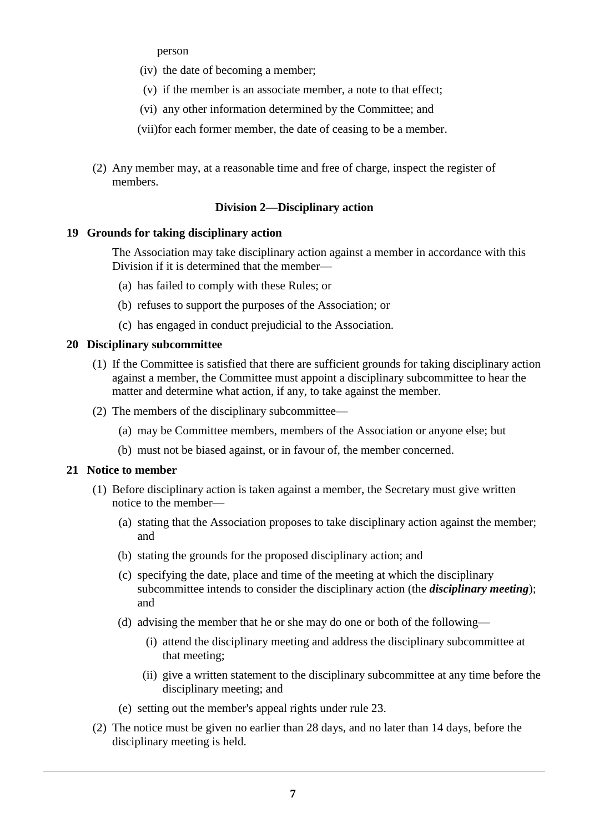person

- (iv) the date of becoming a member;
- (v) if the member is an associate member, a note to that effect;
- (vi) any other information determined by the Committee; and
- (vii)for each former member, the date of ceasing to be a member.
- (2) Any member may, at a reasonable time and free of charge, inspect the register of members.

# **Division 2—Disciplinary action**

# **19 Grounds for taking disciplinary action**

The Association may take disciplinary action against a member in accordance with this Division if it is determined that the member—

- (a) has failed to comply with these Rules; or
- (b) refuses to support the purposes of the Association; or
- (c) has engaged in conduct prejudicial to the Association.

# **20 Disciplinary subcommittee**

- (1) If the Committee is satisfied that there are sufficient grounds for taking disciplinary action against a member, the Committee must appoint a disciplinary subcommittee to hear the matter and determine what action, if any, to take against the member.
- (2) The members of the disciplinary subcommittee—
	- (a) may be Committee members, members of the Association or anyone else; but
	- (b) must not be biased against, or in favour of, the member concerned.

# **21 Notice to member**

- (1) Before disciplinary action is taken against a member, the Secretary must give written notice to the member—
	- (a) stating that the Association proposes to take disciplinary action against the member; and
	- (b) stating the grounds for the proposed disciplinary action; and
	- (c) specifying the date, place and time of the meeting at which the disciplinary subcommittee intends to consider the disciplinary action (the *disciplinary meeting*); and
	- (d) advising the member that he or she may do one or both of the following—
		- (i) attend the disciplinary meeting and address the disciplinary subcommittee at that meeting;
		- (ii) give a written statement to the disciplinary subcommittee at any time before the disciplinary meeting; and
	- (e) setting out the member's appeal rights under rule 23.
- (2) The notice must be given no earlier than 28 days, and no later than 14 days, before the disciplinary meeting is held.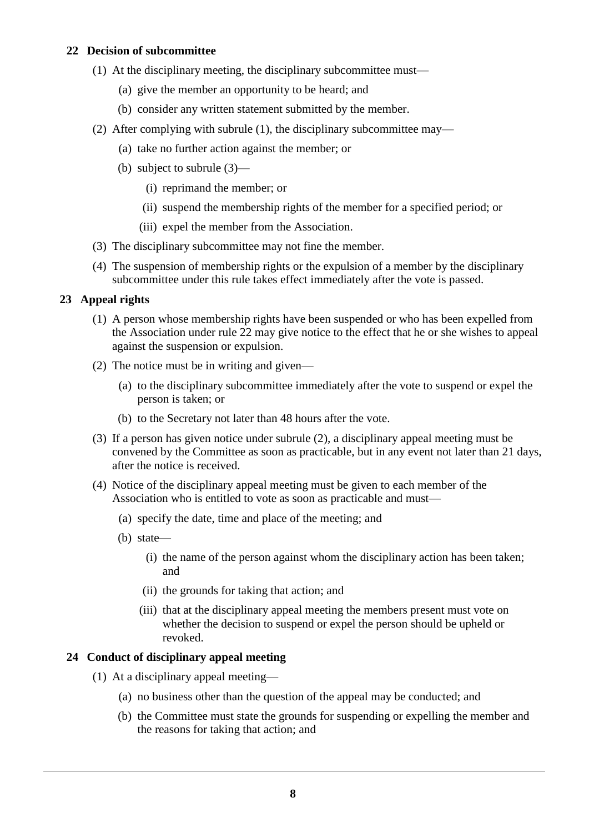# **22 Decision of subcommittee**

- (1) At the disciplinary meeting, the disciplinary subcommittee must—
	- (a) give the member an opportunity to be heard; and
	- (b) consider any written statement submitted by the member.
- (2) After complying with subrule (1), the disciplinary subcommittee may—
	- (a) take no further action against the member; or
	- (b) subject to subrule (3)—
		- (i) reprimand the member; or
		- (ii) suspend the membership rights of the member for a specified period; or
		- (iii) expel the member from the Association.
- (3) The disciplinary subcommittee may not fine the member.
- (4) The suspension of membership rights or the expulsion of a member by the disciplinary subcommittee under this rule takes effect immediately after the vote is passed.

# **23 Appeal rights**

- (1) A person whose membership rights have been suspended or who has been expelled from the Association under rule 22 may give notice to the effect that he or she wishes to appeal against the suspension or expulsion.
- (2) The notice must be in writing and given—
	- (a) to the disciplinary subcommittee immediately after the vote to suspend or expel the person is taken; or
	- (b) to the Secretary not later than 48 hours after the vote.
- (3) If a person has given notice under subrule (2), a disciplinary appeal meeting must be convened by the Committee as soon as practicable, but in any event not later than 21 days, after the notice is received.
- (4) Notice of the disciplinary appeal meeting must be given to each member of the Association who is entitled to vote as soon as practicable and must—
	- (a) specify the date, time and place of the meeting; and
	- (b) state—
		- (i) the name of the person against whom the disciplinary action has been taken; and
		- (ii) the grounds for taking that action; and
		- (iii) that at the disciplinary appeal meeting the members present must vote on whether the decision to suspend or expel the person should be upheld or revoked.

# **24 Conduct of disciplinary appeal meeting**

- (1) At a disciplinary appeal meeting—
	- (a) no business other than the question of the appeal may be conducted; and
	- (b) the Committee must state the grounds for suspending or expelling the member and the reasons for taking that action; and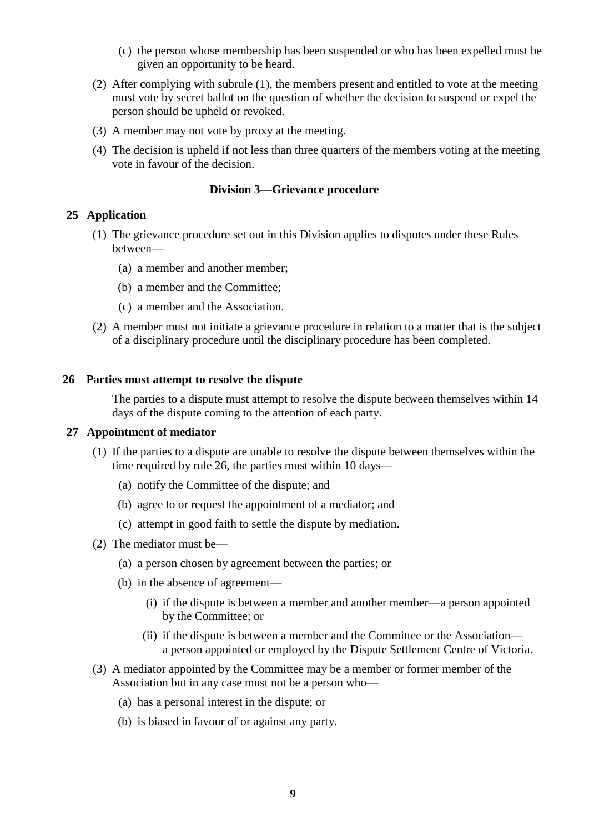- (c) the person whose membership has been suspended or who has been expelled must be given an opportunity to be heard.
- (2) After complying with subrule (1), the members present and entitled to vote at the meeting must vote by secret ballot on the question of whether the decision to suspend or expel the person should be upheld or revoked.
- (3) A member may not vote by proxy at the meeting.
- (4) The decision is upheld if not less than three quarters of the members voting at the meeting vote in favour of the decision.

# **Division 3—Grievance procedure**

# **25 Application**

- (1) The grievance procedure set out in this Division applies to disputes under these Rules between—
	- (a) a member and another member;
	- (b) a member and the Committee;
	- (c) a member and the Association.
- (2) A member must not initiate a grievance procedure in relation to a matter that is the subject of a disciplinary procedure until the disciplinary procedure has been completed.

# **26 Parties must attempt to resolve the dispute**

The parties to a dispute must attempt to resolve the dispute between themselves within 14 days of the dispute coming to the attention of each party.

### **27 Appointment of mediator**

- (1) If the parties to a dispute are unable to resolve the dispute between themselves within the time required by rule 26, the parties must within 10 days—
	- (a) notify the Committee of the dispute; and
	- (b) agree to or request the appointment of a mediator; and
	- (c) attempt in good faith to settle the dispute by mediation.
- (2) The mediator must be—
	- (a) a person chosen by agreement between the parties; or
	- (b) in the absence of agreement—
		- (i) if the dispute is between a member and another member—a person appointed by the Committee; or
		- (ii) if the dispute is between a member and the Committee or the Association a person appointed or employed by the Dispute Settlement Centre of Victoria.
- (3) A mediator appointed by the Committee may be a member or former member of the Association but in any case must not be a person who—
	- (a) has a personal interest in the dispute; or
	- (b) is biased in favour of or against any party.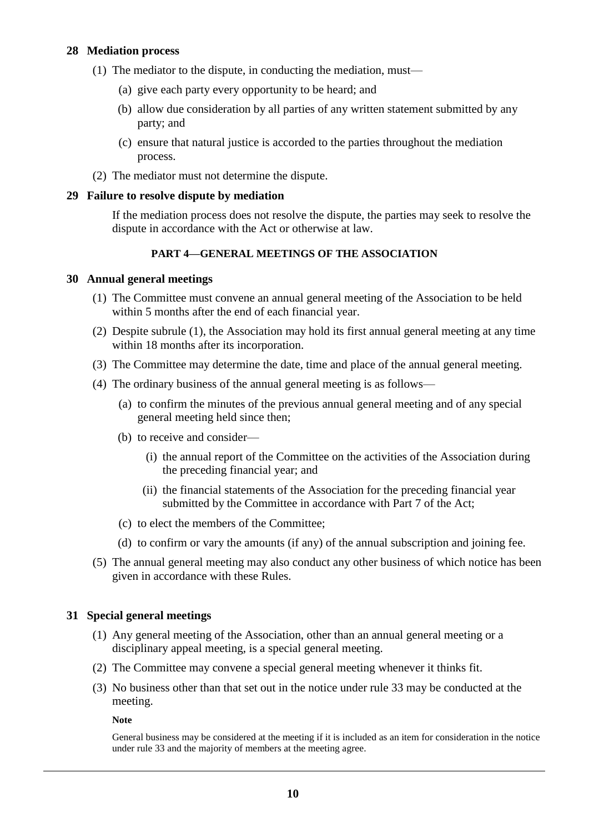# **28 Mediation process**

- (1) The mediator to the dispute, in conducting the mediation, must—
	- (a) give each party every opportunity to be heard; and
	- (b) allow due consideration by all parties of any written statement submitted by any party; and
	- (c) ensure that natural justice is accorded to the parties throughout the mediation process.
- (2) The mediator must not determine the dispute.

### **29 Failure to resolve dispute by mediation**

If the mediation process does not resolve the dispute, the parties may seek to resolve the dispute in accordance with the Act or otherwise at law.

# **PART 4—GENERAL MEETINGS OF THE ASSOCIATION**

### **30 Annual general meetings**

- (1) The Committee must convene an annual general meeting of the Association to be held within 5 months after the end of each financial year.
- (2) Despite subrule (1), the Association may hold its first annual general meeting at any time within 18 months after its incorporation.
- (3) The Committee may determine the date, time and place of the annual general meeting.
- (4) The ordinary business of the annual general meeting is as follows—
	- (a) to confirm the minutes of the previous annual general meeting and of any special general meeting held since then;
	- (b) to receive and consider—
		- (i) the annual report of the Committee on the activities of the Association during the preceding financial year; and
		- (ii) the financial statements of the Association for the preceding financial year submitted by the Committee in accordance with Part 7 of the Act;
	- (c) to elect the members of the Committee;
	- (d) to confirm or vary the amounts (if any) of the annual subscription and joining fee.
- (5) The annual general meeting may also conduct any other business of which notice has been given in accordance with these Rules.

# **31 Special general meetings**

- (1) Any general meeting of the Association, other than an annual general meeting or a disciplinary appeal meeting, is a special general meeting.
- (2) The Committee may convene a special general meeting whenever it thinks fit.
- (3) No business other than that set out in the notice under rule 33 may be conducted at the meeting.

**Note**

General business may be considered at the meeting if it is included as an item for consideration in the notice under rule 33 and the majority of members at the meeting agree.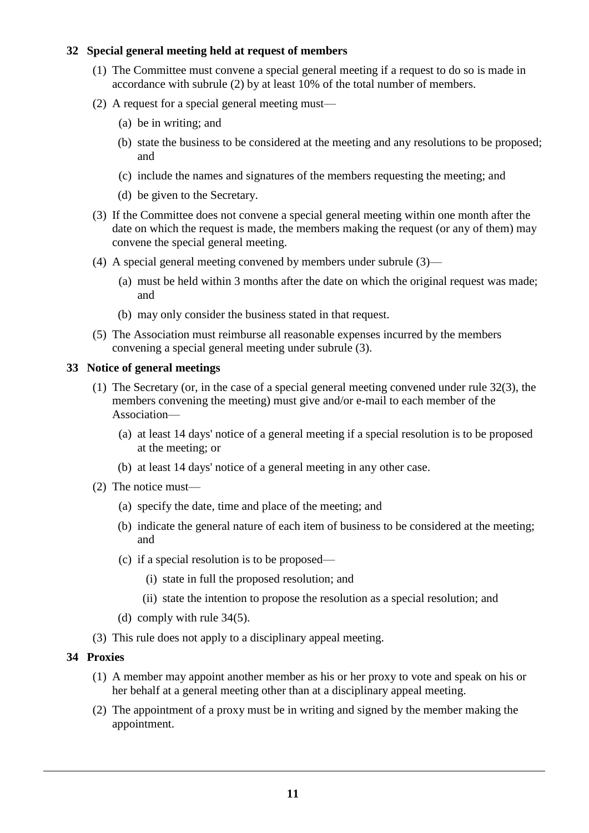# **32 Special general meeting held at request of members**

- (1) The Committee must convene a special general meeting if a request to do so is made in accordance with subrule (2) by at least 10% of the total number of members.
- (2) A request for a special general meeting must—
	- (a) be in writing; and
	- (b) state the business to be considered at the meeting and any resolutions to be proposed; and
	- (c) include the names and signatures of the members requesting the meeting; and
	- (d) be given to the Secretary.
- (3) If the Committee does not convene a special general meeting within one month after the date on which the request is made, the members making the request (or any of them) may convene the special general meeting.
- (4) A special general meeting convened by members under subrule (3)—
	- (a) must be held within 3 months after the date on which the original request was made; and
	- (b) may only consider the business stated in that request.
- (5) The Association must reimburse all reasonable expenses incurred by the members convening a special general meeting under subrule (3).

# **33 Notice of general meetings**

- (1) The Secretary (or, in the case of a special general meeting convened under rule 32(3), the members convening the meeting) must give and/or e-mail to each member of the Association—
	- (a) at least 14 days' notice of a general meeting if a special resolution is to be proposed at the meeting; or
	- (b) at least 14 days' notice of a general meeting in any other case.
- (2) The notice must—
	- (a) specify the date, time and place of the meeting; and
	- (b) indicate the general nature of each item of business to be considered at the meeting; and
	- (c) if a special resolution is to be proposed—
		- (i) state in full the proposed resolution; and
		- (ii) state the intention to propose the resolution as a special resolution; and
	- (d) comply with rule 34(5).
- (3) This rule does not apply to a disciplinary appeal meeting.

### **34 Proxies**

- (1) A member may appoint another member as his or her proxy to vote and speak on his or her behalf at a general meeting other than at a disciplinary appeal meeting.
- (2) The appointment of a proxy must be in writing and signed by the member making the appointment.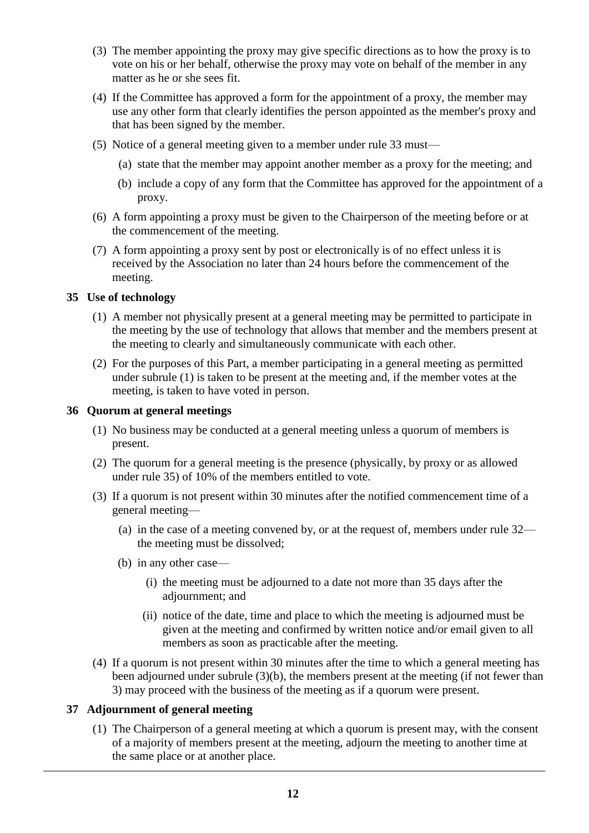- (3) The member appointing the proxy may give specific directions as to how the proxy is to vote on his or her behalf, otherwise the proxy may vote on behalf of the member in any matter as he or she sees fit.
- (4) If the Committee has approved a form for the appointment of a proxy, the member may use any other form that clearly identifies the person appointed as the member's proxy and that has been signed by the member.
- (5) Notice of a general meeting given to a member under rule 33 must—
	- (a) state that the member may appoint another member as a proxy for the meeting; and
	- (b) include a copy of any form that the Committee has approved for the appointment of a proxy.
- (6) A form appointing a proxy must be given to the Chairperson of the meeting before or at the commencement of the meeting.
- (7) A form appointing a proxy sent by post or electronically is of no effect unless it is received by the Association no later than 24 hours before the commencement of the meeting.

# **35 Use of technology**

- (1) A member not physically present at a general meeting may be permitted to participate in the meeting by the use of technology that allows that member and the members present at the meeting to clearly and simultaneously communicate with each other.
- (2) For the purposes of this Part, a member participating in a general meeting as permitted under subrule (1) is taken to be present at the meeting and, if the member votes at the meeting, is taken to have voted in person.

# **36 Quorum at general meetings**

- (1) No business may be conducted at a general meeting unless a quorum of members is present.
- (2) The quorum for a general meeting is the presence (physically, by proxy or as allowed under rule 35) of 10% of the members entitled to vote.
- (3) If a quorum is not present within 30 minutes after the notified commencement time of a general meeting—
	- (a) in the case of a meeting convened by, or at the request of, members under rule 32 the meeting must be dissolved;
	- (b) in any other case—
		- (i) the meeting must be adjourned to a date not more than 35 days after the adjournment; and
		- (ii) notice of the date, time and place to which the meeting is adjourned must be given at the meeting and confirmed by written notice and/or email given to all members as soon as practicable after the meeting.
- (4) If a quorum is not present within 30 minutes after the time to which a general meeting has been adjourned under subrule (3)(b), the members present at the meeting (if not fewer than 3) may proceed with the business of the meeting as if a quorum were present.

# **37 Adjournment of general meeting**

(1) The Chairperson of a general meeting at which a quorum is present may, with the consent of a majority of members present at the meeting, adjourn the meeting to another time at the same place or at another place.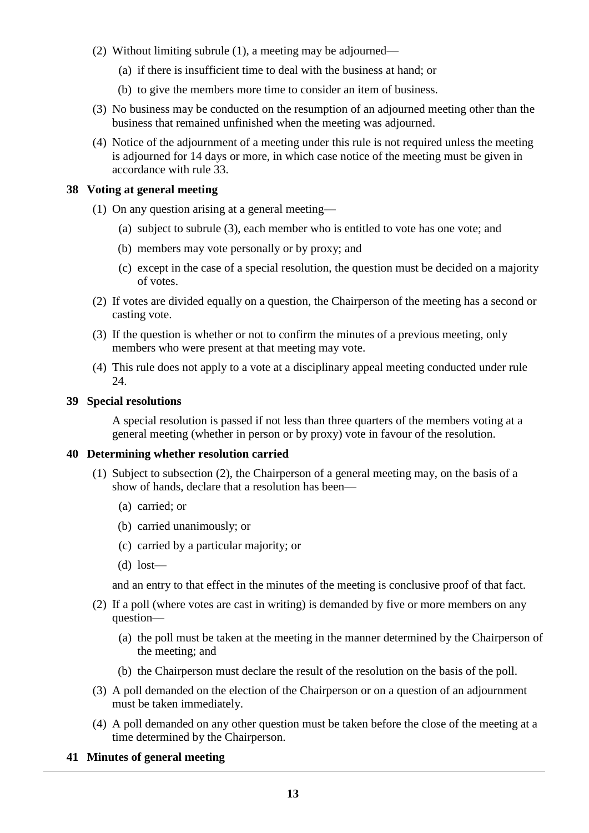- (2) Without limiting subrule (1), a meeting may be adjourned—
	- (a) if there is insufficient time to deal with the business at hand; or
	- (b) to give the members more time to consider an item of business.
- (3) No business may be conducted on the resumption of an adjourned meeting other than the business that remained unfinished when the meeting was adjourned.
- (4) Notice of the adjournment of a meeting under this rule is not required unless the meeting is adjourned for 14 days or more, in which case notice of the meeting must be given in accordance with rule 33.

# **38 Voting at general meeting**

- (1) On any question arising at a general meeting—
	- (a) subject to subrule (3), each member who is entitled to vote has one vote; and
	- (b) members may vote personally or by proxy; and
	- (c) except in the case of a special resolution, the question must be decided on a majority of votes.
- (2) If votes are divided equally on a question, the Chairperson of the meeting has a second or casting vote.
- (3) If the question is whether or not to confirm the minutes of a previous meeting, only members who were present at that meeting may vote.
- (4) This rule does not apply to a vote at a disciplinary appeal meeting conducted under rule 24.

# **39 Special resolutions**

A special resolution is passed if not less than three quarters of the members voting at a general meeting (whether in person or by proxy) vote in favour of the resolution.

# **40 Determining whether resolution carried**

- (1) Subject to subsection (2), the Chairperson of a general meeting may, on the basis of a show of hands, declare that a resolution has been—
	- (a) carried; or
	- (b) carried unanimously; or
	- (c) carried by a particular majority; or
	- (d) lost—

and an entry to that effect in the minutes of the meeting is conclusive proof of that fact.

- (2) If a poll (where votes are cast in writing) is demanded by five or more members on any question—
	- (a) the poll must be taken at the meeting in the manner determined by the Chairperson of the meeting; and
	- (b) the Chairperson must declare the result of the resolution on the basis of the poll.
- (3) A poll demanded on the election of the Chairperson or on a question of an adjournment must be taken immediately.
- (4) A poll demanded on any other question must be taken before the close of the meeting at a time determined by the Chairperson.

# **41 Minutes of general meeting**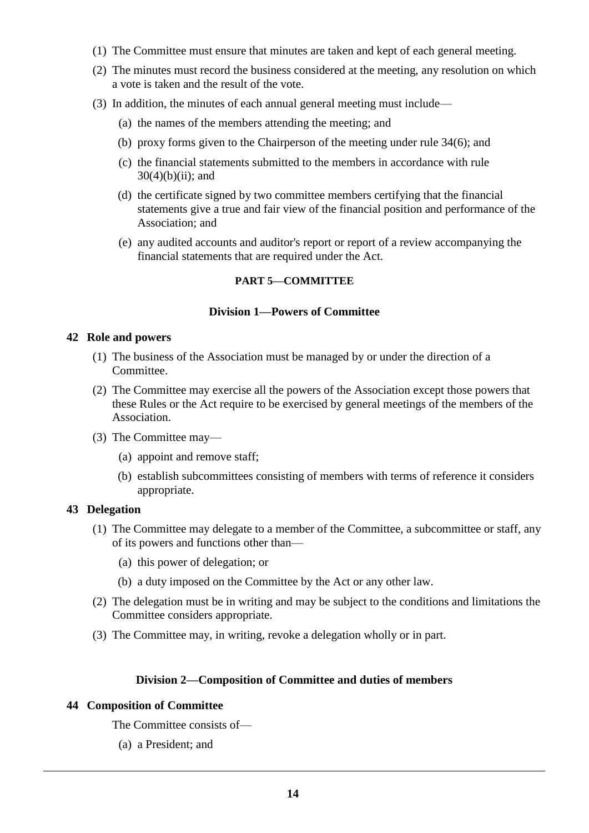- (1) The Committee must ensure that minutes are taken and kept of each general meeting.
- (2) The minutes must record the business considered at the meeting, any resolution on which a vote is taken and the result of the vote.
- (3) In addition, the minutes of each annual general meeting must include—
	- (a) the names of the members attending the meeting; and
	- (b) proxy forms given to the Chairperson of the meeting under rule 34(6); and
	- (c) the financial statements submitted to the members in accordance with rule  $30(4)(b)(ii)$ ; and
	- (d) the certificate signed by two committee members certifying that the financial statements give a true and fair view of the financial position and performance of the Association; and
	- (e) any audited accounts and auditor's report or report of a review accompanying the financial statements that are required under the Act.

# **PART 5—COMMITTEE**

### **Division 1—Powers of Committee**

### **42 Role and powers**

- (1) The business of the Association must be managed by or under the direction of a Committee.
- (2) The Committee may exercise all the powers of the Association except those powers that these Rules or the Act require to be exercised by general meetings of the members of the Association.
- (3) The Committee may—
	- (a) appoint and remove staff;
	- (b) establish subcommittees consisting of members with terms of reference it considers appropriate.

### **43 Delegation**

- (1) The Committee may delegate to a member of the Committee, a subcommittee or staff, any of its powers and functions other than—
	- (a) this power of delegation; or
	- (b) a duty imposed on the Committee by the Act or any other law.
- (2) The delegation must be in writing and may be subject to the conditions and limitations the Committee considers appropriate.
- (3) The Committee may, in writing, revoke a delegation wholly or in part.

### **Division 2—Composition of Committee and duties of members**

### **44 Composition of Committee**

The Committee consists of—

(a) a President; and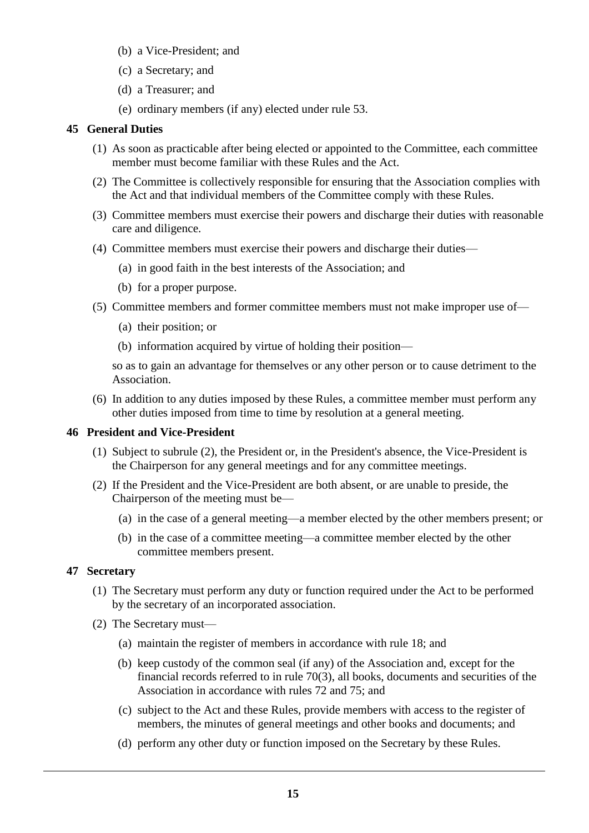- (b) a Vice-President; and
- (c) a Secretary; and
- (d) a Treasurer; and
- (e) ordinary members (if any) elected under rule 53.

## **45 General Duties**

- (1) As soon as practicable after being elected or appointed to the Committee, each committee member must become familiar with these Rules and the Act.
- (2) The Committee is collectively responsible for ensuring that the Association complies with the Act and that individual members of the Committee comply with these Rules.
- (3) Committee members must exercise their powers and discharge their duties with reasonable care and diligence.
- (4) Committee members must exercise their powers and discharge their duties—
	- (a) in good faith in the best interests of the Association; and
	- (b) for a proper purpose.
- (5) Committee members and former committee members must not make improper use of—
	- (a) their position; or
	- (b) information acquired by virtue of holding their position—

so as to gain an advantage for themselves or any other person or to cause detriment to the Association.

(6) In addition to any duties imposed by these Rules, a committee member must perform any other duties imposed from time to time by resolution at a general meeting.

## **46 President and Vice-President**

- (1) Subject to subrule (2), the President or, in the President's absence, the Vice-President is the Chairperson for any general meetings and for any committee meetings.
- (2) If the President and the Vice-President are both absent, or are unable to preside, the Chairperson of the meeting must be—
	- (a) in the case of a general meeting—a member elected by the other members present; or
	- (b) in the case of a committee meeting—a committee member elected by the other committee members present.

# **47 Secretary**

- (1) The Secretary must perform any duty or function required under the Act to be performed by the secretary of an incorporated association.
- (2) The Secretary must—
	- (a) maintain the register of members in accordance with rule 18; and
	- (b) keep custody of the common seal (if any) of the Association and, except for the financial records referred to in rule 70(3), all books, documents and securities of the Association in accordance with rules 72 and 75; and
	- (c) subject to the Act and these Rules, provide members with access to the register of members, the minutes of general meetings and other books and documents; and
	- (d) perform any other duty or function imposed on the Secretary by these Rules.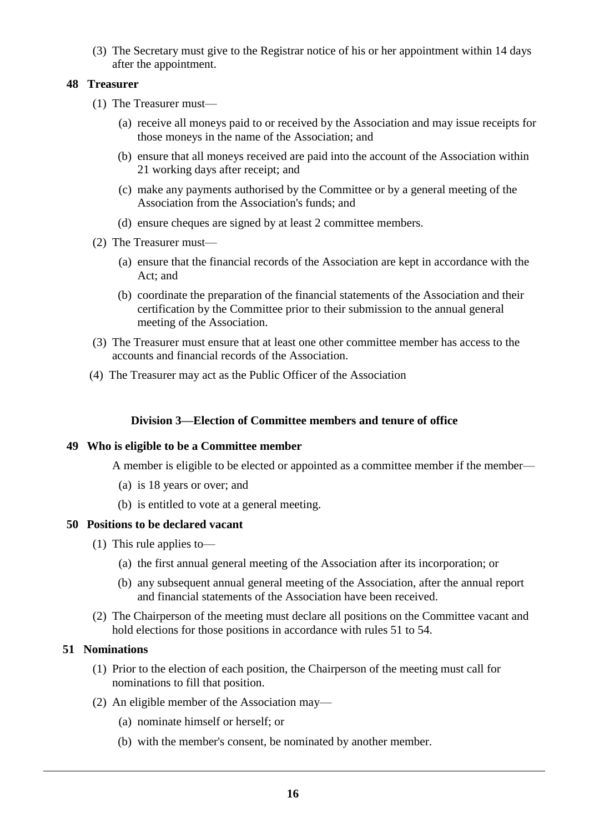(3) The Secretary must give to the Registrar notice of his or her appointment within 14 days after the appointment.

# **48 Treasurer**

- (1) The Treasurer must—
	- (a) receive all moneys paid to or received by the Association and may issue receipts for those moneys in the name of the Association; and
	- (b) ensure that all moneys received are paid into the account of the Association within 21 working days after receipt; and
	- (c) make any payments authorised by the Committee or by a general meeting of the Association from the Association's funds; and
	- (d) ensure cheques are signed by at least 2 committee members.
- (2) The Treasurer must—
	- (a) ensure that the financial records of the Association are kept in accordance with the Act; and
	- (b) coordinate the preparation of the financial statements of the Association and their certification by the Committee prior to their submission to the annual general meeting of the Association.
- (3) The Treasurer must ensure that at least one other committee member has access to the accounts and financial records of the Association.
- (4) The Treasurer may act as the Public Officer of the Association

## **Division 3—Election of Committee members and tenure of office**

### **49 Who is eligible to be a Committee member**

A member is eligible to be elected or appointed as a committee member if the member—

- (a) is 18 years or over; and
- (b) is entitled to vote at a general meeting.

#### **50 Positions to be declared vacant**

- (1) This rule applies to—
	- (a) the first annual general meeting of the Association after its incorporation; or
	- (b) any subsequent annual general meeting of the Association, after the annual report and financial statements of the Association have been received.
- (2) The Chairperson of the meeting must declare all positions on the Committee vacant and hold elections for those positions in accordance with rules 51 to 54.

# **51 Nominations**

- (1) Prior to the election of each position, the Chairperson of the meeting must call for nominations to fill that position.
- (2) An eligible member of the Association may—
	- (a) nominate himself or herself; or
	- (b) with the member's consent, be nominated by another member.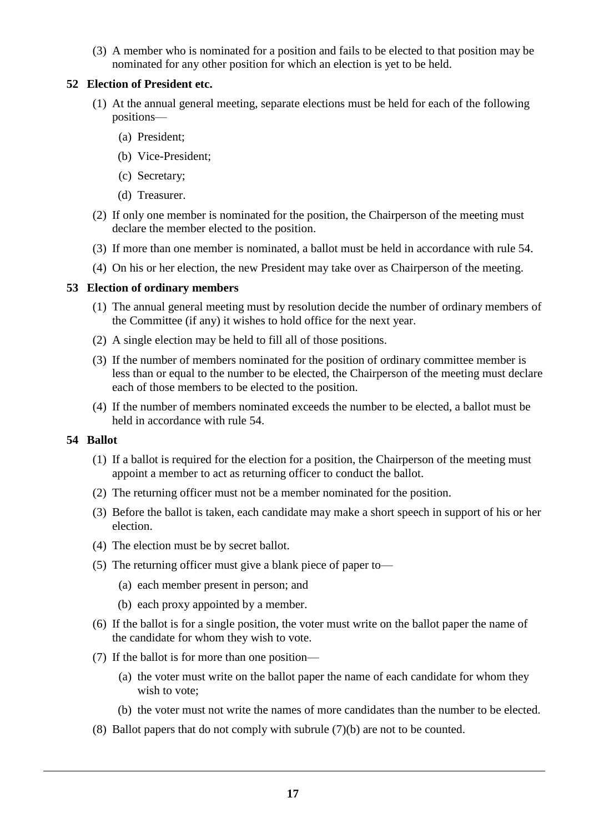(3) A member who is nominated for a position and fails to be elected to that position may be nominated for any other position for which an election is yet to be held.

## **52 Election of President etc.**

- (1) At the annual general meeting, separate elections must be held for each of the following positions—
	- (a) President;
	- (b) Vice-President;
	- (c) Secretary;
	- (d) Treasurer.
- (2) If only one member is nominated for the position, the Chairperson of the meeting must declare the member elected to the position.
- (3) If more than one member is nominated, a ballot must be held in accordance with rule 54.
- (4) On his or her election, the new President may take over as Chairperson of the meeting.

# **53 Election of ordinary members**

- (1) The annual general meeting must by resolution decide the number of ordinary members of the Committee (if any) it wishes to hold office for the next year.
- (2) A single election may be held to fill all of those positions.
- (3) If the number of members nominated for the position of ordinary committee member is less than or equal to the number to be elected, the Chairperson of the meeting must declare each of those members to be elected to the position.
- (4) If the number of members nominated exceeds the number to be elected, a ballot must be held in accordance with rule 54.

### **54 Ballot**

- (1) If a ballot is required for the election for a position, the Chairperson of the meeting must appoint a member to act as returning officer to conduct the ballot.
- (2) The returning officer must not be a member nominated for the position.
- (3) Before the ballot is taken, each candidate may make a short speech in support of his or her election.
- (4) The election must be by secret ballot.
- (5) The returning officer must give a blank piece of paper to—
	- (a) each member present in person; and
	- (b) each proxy appointed by a member.
- (6) If the ballot is for a single position, the voter must write on the ballot paper the name of the candidate for whom they wish to vote.
- (7) If the ballot is for more than one position—
	- (a) the voter must write on the ballot paper the name of each candidate for whom they wish to vote;
	- (b) the voter must not write the names of more candidates than the number to be elected.
- (8) Ballot papers that do not comply with subrule (7)(b) are not to be counted.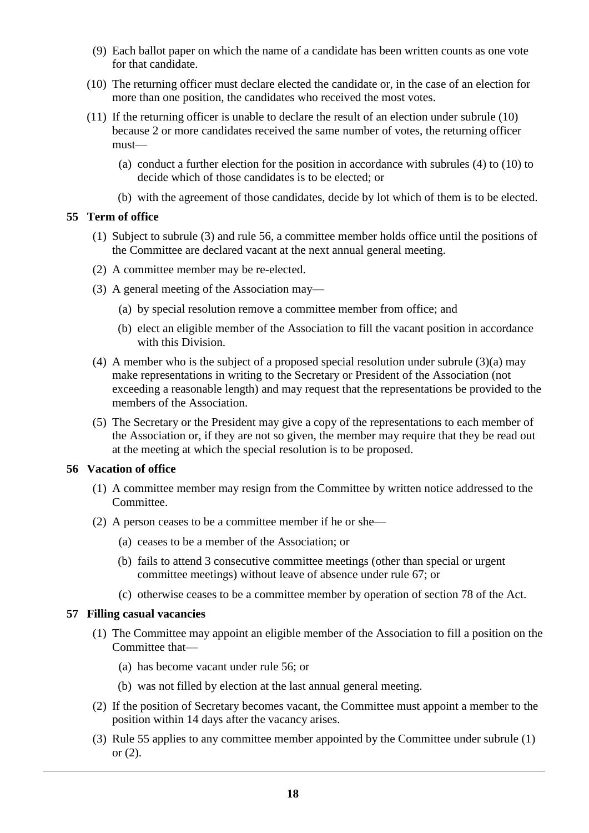- (9) Each ballot paper on which the name of a candidate has been written counts as one vote for that candidate.
- (10) The returning officer must declare elected the candidate or, in the case of an election for more than one position, the candidates who received the most votes.
- (11) If the returning officer is unable to declare the result of an election under subrule (10) because 2 or more candidates received the same number of votes, the returning officer must—
	- (a) conduct a further election for the position in accordance with subrules (4) to (10) to decide which of those candidates is to be elected; or
	- (b) with the agreement of those candidates, decide by lot which of them is to be elected.

# **55 Term of office**

- (1) Subject to subrule (3) and rule 56, a committee member holds office until the positions of the Committee are declared vacant at the next annual general meeting.
- (2) A committee member may be re-elected.
- (3) A general meeting of the Association may—
	- (a) by special resolution remove a committee member from office; and
	- (b) elect an eligible member of the Association to fill the vacant position in accordance with this Division.
- (4) A member who is the subject of a proposed special resolution under subrule (3)(a) may make representations in writing to the Secretary or President of the Association (not exceeding a reasonable length) and may request that the representations be provided to the members of the Association.
- (5) The Secretary or the President may give a copy of the representations to each member of the Association or, if they are not so given, the member may require that they be read out at the meeting at which the special resolution is to be proposed.

### **56 Vacation of office**

- (1) A committee member may resign from the Committee by written notice addressed to the Committee.
- (2) A person ceases to be a committee member if he or she—
	- (a) ceases to be a member of the Association; or
	- (b) fails to attend 3 consecutive committee meetings (other than special or urgent committee meetings) without leave of absence under rule 67; or
	- (c) otherwise ceases to be a committee member by operation of section 78 of the Act.

### **57 Filling casual vacancies**

- (1) The Committee may appoint an eligible member of the Association to fill a position on the Committee that—
	- (a) has become vacant under rule 56; or
	- (b) was not filled by election at the last annual general meeting.
- (2) If the position of Secretary becomes vacant, the Committee must appoint a member to the position within 14 days after the vacancy arises.
- (3) Rule 55 applies to any committee member appointed by the Committee under subrule (1) or (2).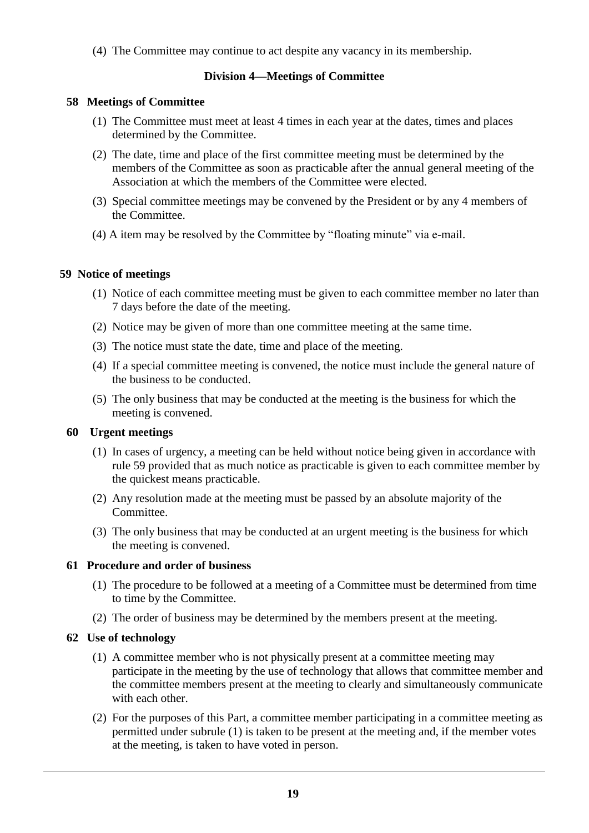(4) The Committee may continue to act despite any vacancy in its membership.

# **Division 4—Meetings of Committee**

# **58 Meetings of Committee**

- (1) The Committee must meet at least 4 times in each year at the dates, times and places determined by the Committee.
- (2) The date, time and place of the first committee meeting must be determined by the members of the Committee as soon as practicable after the annual general meeting of the Association at which the members of the Committee were elected.
- (3) Special committee meetings may be convened by the President or by any 4 members of the Committee.
- (4) A item may be resolved by the Committee by "floating minute" via e-mail.

# **59 Notice of meetings**

- (1) Notice of each committee meeting must be given to each committee member no later than 7 days before the date of the meeting.
- (2) Notice may be given of more than one committee meeting at the same time.
- (3) The notice must state the date, time and place of the meeting.
- (4) If a special committee meeting is convened, the notice must include the general nature of the business to be conducted.
- (5) The only business that may be conducted at the meeting is the business for which the meeting is convened.

# **60 Urgent meetings**

- (1) In cases of urgency, a meeting can be held without notice being given in accordance with rule 59 provided that as much notice as practicable is given to each committee member by the quickest means practicable.
- (2) Any resolution made at the meeting must be passed by an absolute majority of the Committee.
- (3) The only business that may be conducted at an urgent meeting is the business for which the meeting is convened.

# **61 Procedure and order of business**

- (1) The procedure to be followed at a meeting of a Committee must be determined from time to time by the Committee.
- (2) The order of business may be determined by the members present at the meeting.

# **62 Use of technology**

- (1) A committee member who is not physically present at a committee meeting may participate in the meeting by the use of technology that allows that committee member and the committee members present at the meeting to clearly and simultaneously communicate with each other.
- (2) For the purposes of this Part, a committee member participating in a committee meeting as permitted under subrule (1) is taken to be present at the meeting and, if the member votes at the meeting, is taken to have voted in person.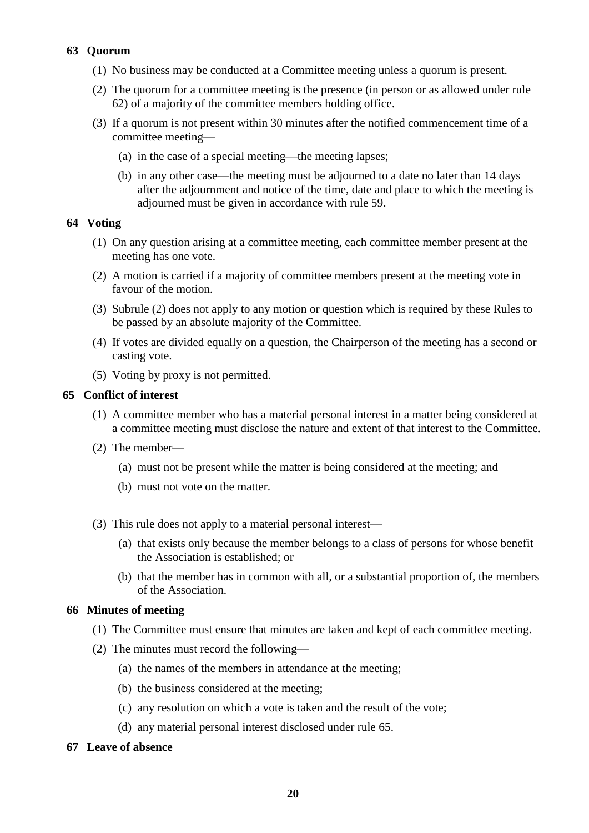# **63 Quorum**

- (1) No business may be conducted at a Committee meeting unless a quorum is present.
- (2) The quorum for a committee meeting is the presence (in person or as allowed under rule 62) of a majority of the committee members holding office.
- (3) If a quorum is not present within 30 minutes after the notified commencement time of a committee meeting—
	- (a) in the case of a special meeting—the meeting lapses;
	- (b) in any other case—the meeting must be adjourned to a date no later than 14 days after the adjournment and notice of the time, date and place to which the meeting is adjourned must be given in accordance with rule 59.

# **64 Voting**

- (1) On any question arising at a committee meeting, each committee member present at the meeting has one vote.
- (2) A motion is carried if a majority of committee members present at the meeting vote in favour of the motion.
- (3) Subrule (2) does not apply to any motion or question which is required by these Rules to be passed by an absolute majority of the Committee.
- (4) If votes are divided equally on a question, the Chairperson of the meeting has a second or casting vote.
- (5) Voting by proxy is not permitted.

# **65 Conflict of interest**

- (1) A committee member who has a material personal interest in a matter being considered at a committee meeting must disclose the nature and extent of that interest to the Committee.
- (2) The member—
	- (a) must not be present while the matter is being considered at the meeting; and
	- (b) must not vote on the matter.
- (3) This rule does not apply to a material personal interest—
	- (a) that exists only because the member belongs to a class of persons for whose benefit the Association is established; or
	- (b) that the member has in common with all, or a substantial proportion of, the members of the Association.

### **66 Minutes of meeting**

- (1) The Committee must ensure that minutes are taken and kept of each committee meeting.
- (2) The minutes must record the following—
	- (a) the names of the members in attendance at the meeting;
	- (b) the business considered at the meeting;
	- (c) any resolution on which a vote is taken and the result of the vote;
	- (d) any material personal interest disclosed under rule 65.
- **67 Leave of absence**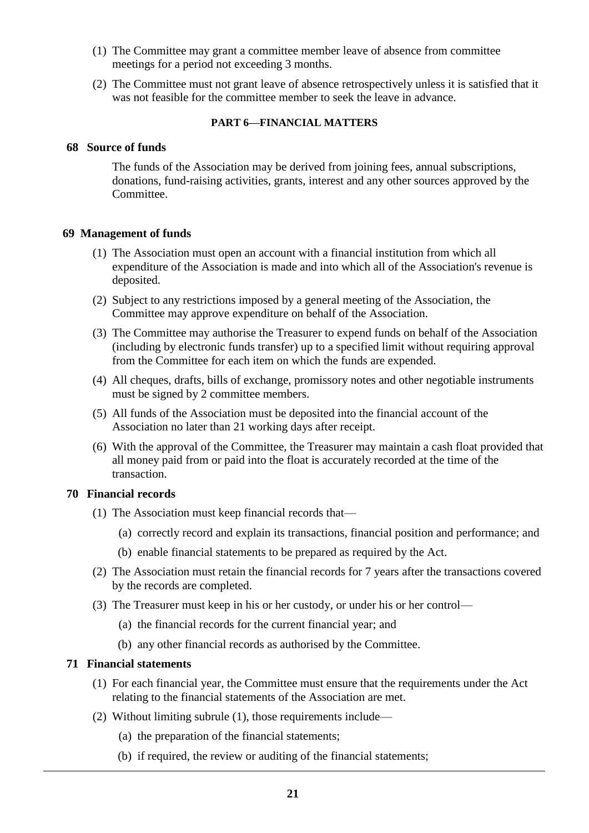- (1) The Committee may grant a committee member leave of absence from committee meetings for a period not exceeding 3 months.
- (2) The Committee must not grant leave of absence retrospectively unless it is satisfied that it was not feasible for the committee member to seek the leave in advance.

### **PART 6—FINANCIAL MATTERS**

### **68 Source of funds**

The funds of the Association may be derived from joining fees, annual subscriptions, donations, fund-raising activities, grants, interest and any other sources approved by the Committee.

### **69 Management of funds**

- (1) The Association must open an account with a financial institution from which all expenditure of the Association is made and into which all of the Association's revenue is deposited.
- (2) Subject to any restrictions imposed by a general meeting of the Association, the Committee may approve expenditure on behalf of the Association.
- (3) The Committee may authorise the Treasurer to expend funds on behalf of the Association (including by electronic funds transfer) up to a specified limit without requiring approval from the Committee for each item on which the funds are expended.
- (4) All cheques, drafts, bills of exchange, promissory notes and other negotiable instruments must be signed by 2 committee members.
- (5) All funds of the Association must be deposited into the financial account of the Association no later than 21 working days after receipt.
- (6) With the approval of the Committee, the Treasurer may maintain a cash float provided that all money paid from or paid into the float is accurately recorded at the time of the transaction.

### **70 Financial records**

- (1) The Association must keep financial records that—
	- (a) correctly record and explain its transactions, financial position and performance; and
	- (b) enable financial statements to be prepared as required by the Act.
- (2) The Association must retain the financial records for 7 years after the transactions covered by the records are completed.
- (3) The Treasurer must keep in his or her custody, or under his or her control—
	- (a) the financial records for the current financial year; and
	- (b) any other financial records as authorised by the Committee.

### **71 Financial statements**

- (1) For each financial year, the Committee must ensure that the requirements under the Act relating to the financial statements of the Association are met.
- (2) Without limiting subrule (1), those requirements include—
	- (a) the preparation of the financial statements;
	- (b) if required, the review or auditing of the financial statements;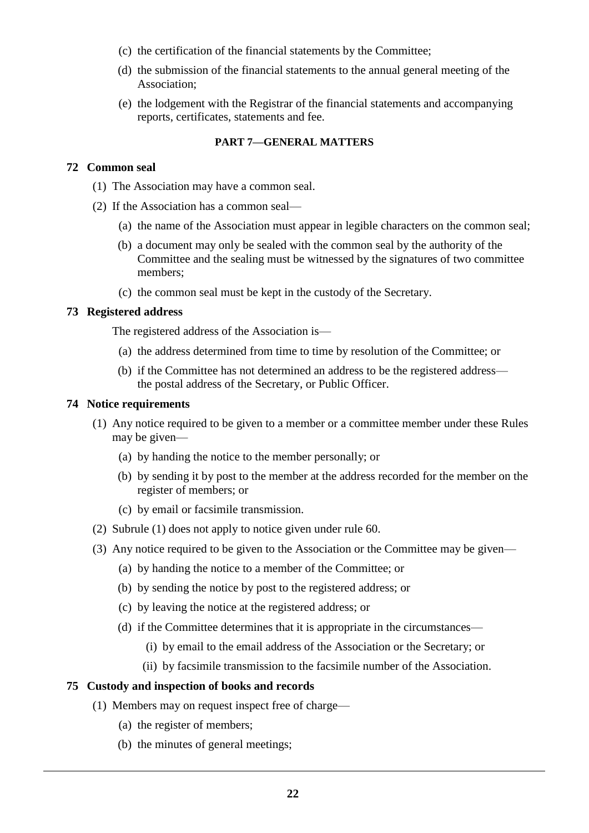- (c) the certification of the financial statements by the Committee;
- (d) the submission of the financial statements to the annual general meeting of the Association;
- (e) the lodgement with the Registrar of the financial statements and accompanying reports, certificates, statements and fee.

#### **PART 7—GENERAL MATTERS**

#### **72 Common seal**

- (1) The Association may have a common seal.
- (2) If the Association has a common seal—
	- (a) the name of the Association must appear in legible characters on the common seal;
	- (b) a document may only be sealed with the common seal by the authority of the Committee and the sealing must be witnessed by the signatures of two committee members;
	- (c) the common seal must be kept in the custody of the Secretary.

#### **73 Registered address**

The registered address of the Association is—

- (a) the address determined from time to time by resolution of the Committee; or
- (b) if the Committee has not determined an address to be the registered address the postal address of the Secretary, or Public Officer.

#### **74 Notice requirements**

- (1) Any notice required to be given to a member or a committee member under these Rules may be given—
	- (a) by handing the notice to the member personally; or
	- (b) by sending it by post to the member at the address recorded for the member on the register of members; or
	- (c) by email or facsimile transmission.
- (2) Subrule (1) does not apply to notice given under rule 60.
- (3) Any notice required to be given to the Association or the Committee may be given—
	- (a) by handing the notice to a member of the Committee; or
	- (b) by sending the notice by post to the registered address; or
	- (c) by leaving the notice at the registered address; or
	- (d) if the Committee determines that it is appropriate in the circumstances—
		- (i) by email to the email address of the Association or the Secretary; or
		- (ii) by facsimile transmission to the facsimile number of the Association.

### **75 Custody and inspection of books and records**

- (1) Members may on request inspect free of charge—
	- (a) the register of members;
	- (b) the minutes of general meetings;